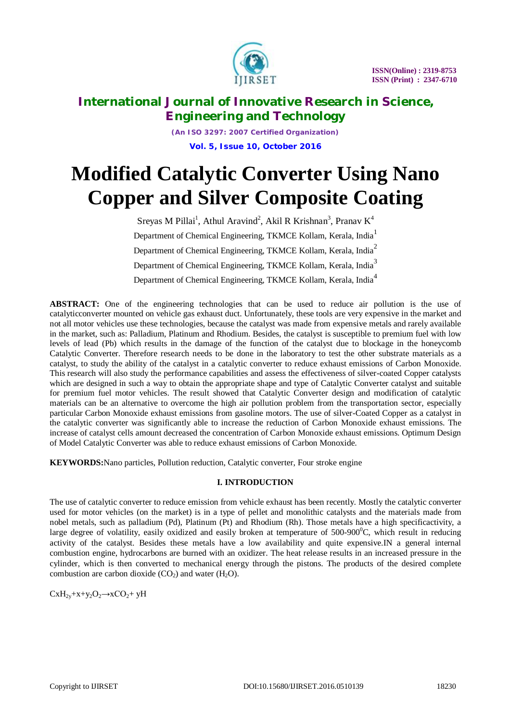

*(An ISO 3297: 2007 Certified Organization)* **Vol. 5, Issue 10, October 2016**

# **Modified Catalytic Converter Using Nano Copper and Silver Composite Coating**

Sreyas M Pillai<sup>1</sup>, Athul Aravind<sup>2</sup>, Akil R Krishnan<sup>3</sup>, Pranav K<sup>4</sup> Department of Chemical Engineering, TKMCE Kollam, Kerala, India<sup>1</sup> Department of Chemical Engineering, TKMCE Kollam, Kerala, India<sup>2</sup> Department of Chemical Engineering, TKMCE Kollam, Kerala, India<sup>3</sup> Department of Chemical Engineering, TKMCE Kollam, Kerala, India<sup>4</sup>

**ABSTRACT:** One of the engineering technologies that can be used to reduce air pollution is the use of catalyticconverter mounted on vehicle gas exhaust duct. Unfortunately, these tools are very expensive in the market and not all motor vehicles use these technologies, because the catalyst was made from expensive metals and rarely available in the market, such as: Palladium, Platinum and Rhodium. Besides, the catalyst is susceptible to premium fuel with low levels of lead (Pb) which results in the damage of the function of the catalyst due to blockage in the honeycomb Catalytic Converter. Therefore research needs to be done in the laboratory to test the other substrate materials as a catalyst, to study the ability of the catalyst in a catalytic converter to reduce exhaust emissions of Carbon Monoxide. This research will also study the performance capabilities and assess the effectiveness of silver-coated Copper catalysts which are designed in such a way to obtain the appropriate shape and type of Catalytic Converter catalyst and suitable for premium fuel motor vehicles. The result showed that Catalytic Converter design and modification of catalytic materials can be an alternative to overcome the high air pollution problem from the transportation sector, especially particular Carbon Monoxide exhaust emissions from gasoline motors. The use of silver-Coated Copper as a catalyst in the catalytic converter was significantly able to increase the reduction of Carbon Monoxide exhaust emissions. The increase of catalyst cells amount decreased the concentration of Carbon Monoxide exhaust emissions. Optimum Design of Model Catalytic Converter was able to reduce exhaust emissions of Carbon Monoxide.

**KEYWORDS:**Nano particles, Pollution reduction, Catalytic converter, Four stroke engine

### **I. INTRODUCTION**

The use of catalytic converter to reduce emission from vehicle exhaust has been recently. Mostly the catalytic converter used for motor vehicles (on the market) is in a type of pellet and monolithic catalysts and the materials made from nobel metals, such as palladium (Pd), Platinum (Pt) and Rhodium (Rh). Those metals have a high specificactivity, a large degree of volatility, easily oxidized and easily broken at temperature of  $500-900^0C$ , which result in reducing activity of the catalyst. Besides these metals have a low availability and quite expensive.IN a general internal combustion engine, hydrocarbons are burned with an oxidizer. The heat release results in an increased pressure in the cylinder, which is then converted to mechanical energy through the pistons. The products of the desired complete combustion are carbon dioxide  $(CO_2)$  and water  $(H_2O)$ .

 $CxH_{2y}+x+y_2O_2 \rightarrow xCO_2+yH$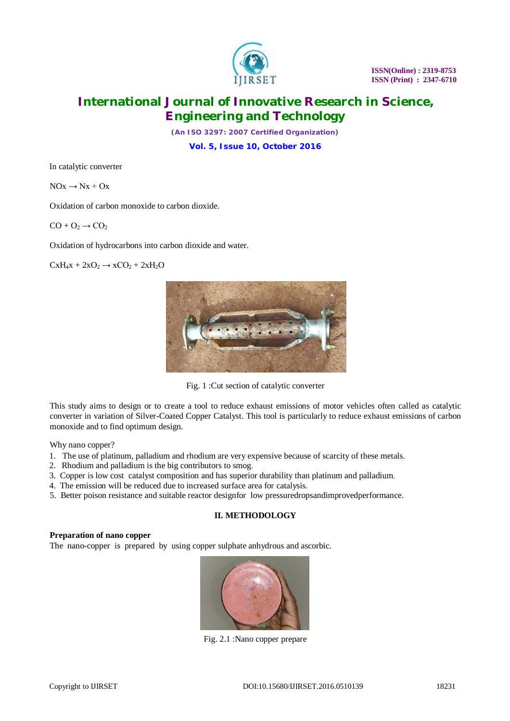

*(An ISO 3297: 2007 Certified Organization)*

**Vol. 5, Issue 10, October 2016**

In catalytic converter

 $NOx \rightarrow Nx + Ox$ 

Oxidation of carbon monoxide to carbon dioxide.

 $CO + O<sub>2</sub> \rightarrow CO<sub>2</sub>$ 

Oxidation of hydrocarbons into carbon dioxide and water.

 $CxH_4x + 2xO_2 \rightarrow xCO_2 + 2xH_2O$ 



Fig. 1 :Cut section of catalytic converter

This study aims to design or to create a tool to reduce exhaust emissions of motor vehicles often called as catalytic converter in variation of Silver-Coated Copper Catalyst. This tool is particularly to reduce exhaust emissions of carbon monoxide and to find optimum design.

Why nano copper?

- 1. The use of platinum, palladium and rhodium are very expensive because of scarcity of these metals.
- 2. Rhodium and palladium is the big contributors to smog.
- 3. Copper is low cost catalyst composition and has superior durability than platinum and palladium.
- 4. The emission will be reduced due to increased surface area for catalysis.
- 5. Better poison resistance and suitable reactor designfor low pressuredropsandimprovedperformance.

### **II. METHODOLOGY**

#### **Preparation of nano copper**

The nano-copper is prepared by using copper sulphate anhydrous and ascorbic.



Fig. 2.1 :Nano copper prepare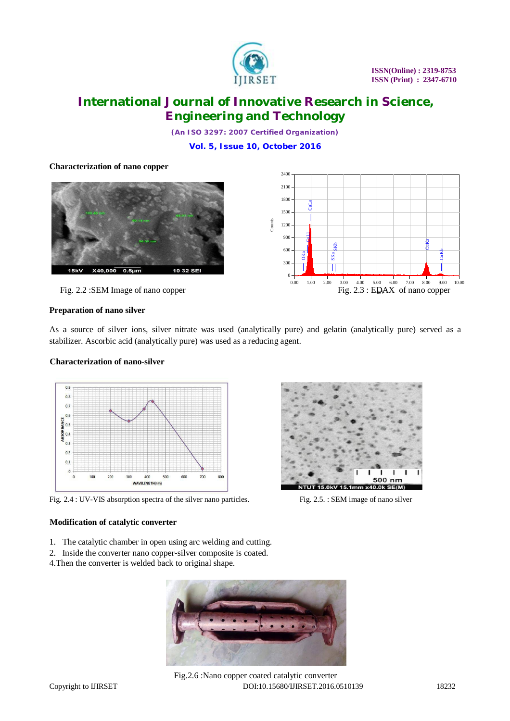

*(An ISO 3297: 2007 Certified Organization)*

**Vol. 5, Issue 10, October 2016**

### **Characterization of nano copper**



Fig. 2.2 : SEM Image of nano copper



#### **Preparation of nano silver**

As a source of silver ions, silver nitrate was used (analytically pure) and gelatin (analytically pure) served as a stabilizer. Ascorbic acid (analytically pure) was used as a reducing agent.

#### **Characterization of nano-silver**



Fig. 2.4 : UV-VIS absorption spectra of the silver nano particles. Fig. 2.5. : SEM image of nano silver

#### **Modification of catalytic converter**

- 1. The catalytic chamber in open using arc welding and cutting.
- 2. Inside the converter nano copper-silver composite is coated.
- 4.Then the converter is welded back to original shape.



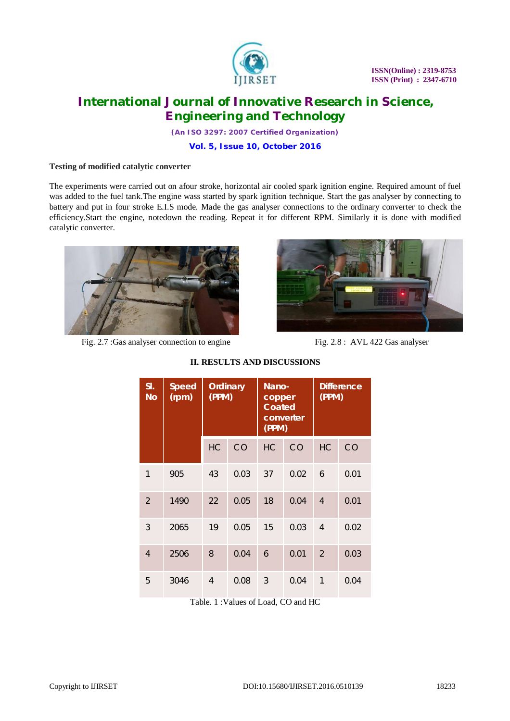

*(An ISO 3297: 2007 Certified Organization)*

**Vol. 5, Issue 10, October 2016**

#### **Testing of modified catalytic converter**

The experiments were carried out on afour stroke, horizontal air cooled spark ignition engine. Required amount of fuel was added to the fuel tank.The engine wass started by spark ignition technique. Start the gas analyser by connecting to battery and put in four stroke E.I.S mode. Made the gas analyser connections to the ordinary converter to check the efficiency.Start the engine, notedown the reading. Repeat it for different RPM. Similarly it is done with modified catalytic converter.



Fig. 2.7 : Gas analyser connection to engine Fig. 2.8 : AVL 422 Gas analyser



| SI.<br><b>No</b> | <b>Speed</b><br>(rpm) | <b>Ordinary</b><br>(PPM) |      | <b>Nano-</b><br>copper<br><b>Coated</b><br>converter<br>(PPM) |      | <b>Difference</b><br>(PPM) |      |
|------------------|-----------------------|--------------------------|------|---------------------------------------------------------------|------|----------------------------|------|
|                  |                       | <b>HC</b>                | CO   | <b>HC</b>                                                     | CO   | <b>HC</b>                  | CO   |
| 1                | 905                   | 43                       | 0.03 | 37                                                            | 0.02 | 6                          | 0.01 |
| $\mathfrak{D}$   | 1490                  | 22                       | 0.05 | 18                                                            | 0.04 | $\overline{4}$             | 0.01 |
| 3                | 2065                  | 19                       | 0.05 | 15                                                            | 0.03 | 4                          | 0.02 |
| $\overline{4}$   | 2506                  | 8                        | 0.04 | 6                                                             | 0.01 | $\mathcal{P}$              | 0.03 |
| 5                | 3046                  | 4                        | 0.08 | 3                                                             | 0.04 | $\mathbf{1}$               | 0.04 |

### **II. RESULTS AND DISCUSSIONS**

Table. 1 :Values of Load, CO and HC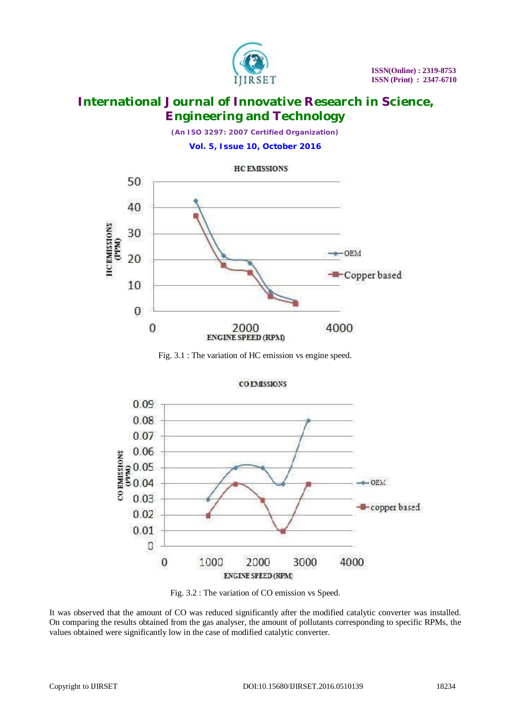

*(An ISO 3297: 2007 Certified Organization)*

**Vol. 5, Issue 10, October 2016**



Fig. 3.1 : The variation of HC emission vs engine speed.



Fig. 3.2 : The variation of CO emission vs Speed.

It was observed that the amount of CO was reduced significantly after the modified catalytic converter was installed. On comparing the results obtained from the gas analyser, the amount of pollutants corresponding to specific RPMs, the values obtained were significantly low in the case of modified catalytic converter.